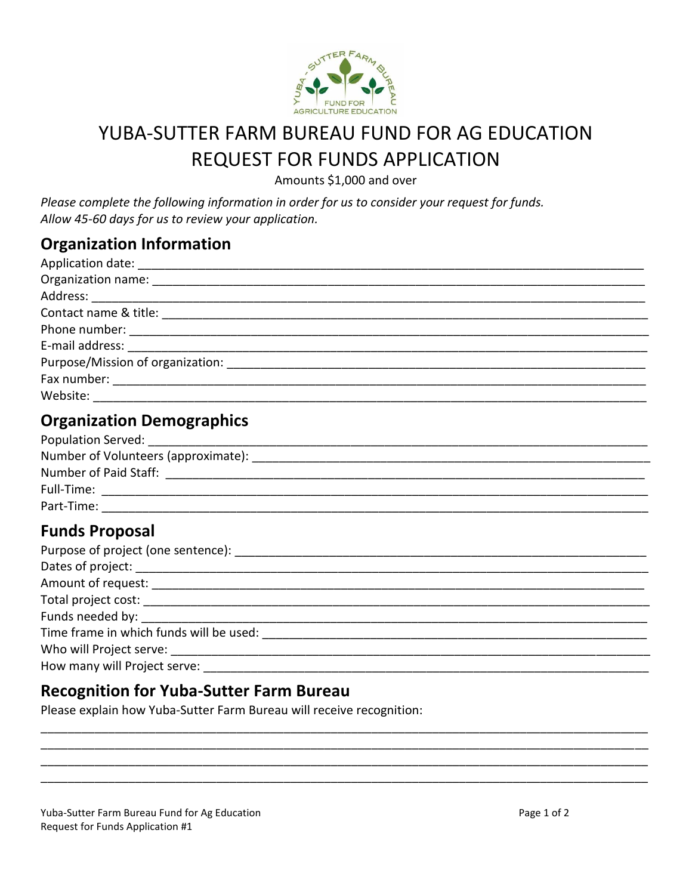

# YUBA-SUTTER FARM BUREAU FUND FOR AG EDUCATION **REQUEST FOR FUNDS APPLICATION**

Amounts \$1,000 and over

Please complete the following information in order for us to consider your request for funds. Allow 45-60 days for us to review your application.

### **Organization Information**

| Organization name: ___________________                |
|-------------------------------------------------------|
|                                                       |
|                                                       |
|                                                       |
|                                                       |
| Purpose/Mission of organization: ____________________ |
|                                                       |
| Website: $\qquad \qquad \qquad$                       |

# **Organization Demographics**

| Population Served:                  |  |
|-------------------------------------|--|
| Number of Volunteers (approximate): |  |
| Number of Paid Staff:               |  |
| Full-Time:                          |  |
| Part-Time:                          |  |

# **Funds Proposal**

| Time frame in which funds will be used: |  |
|-----------------------------------------|--|
|                                         |  |
| How many will Project serve:            |  |

#### **Recognition for Yuba-Sutter Farm Bureau**

Please explain how Yuba-Sutter Farm Bureau will receive recognition:

Yuba-Sutter Farm Bureau Fund for Ag Education Request for Funds Application #1